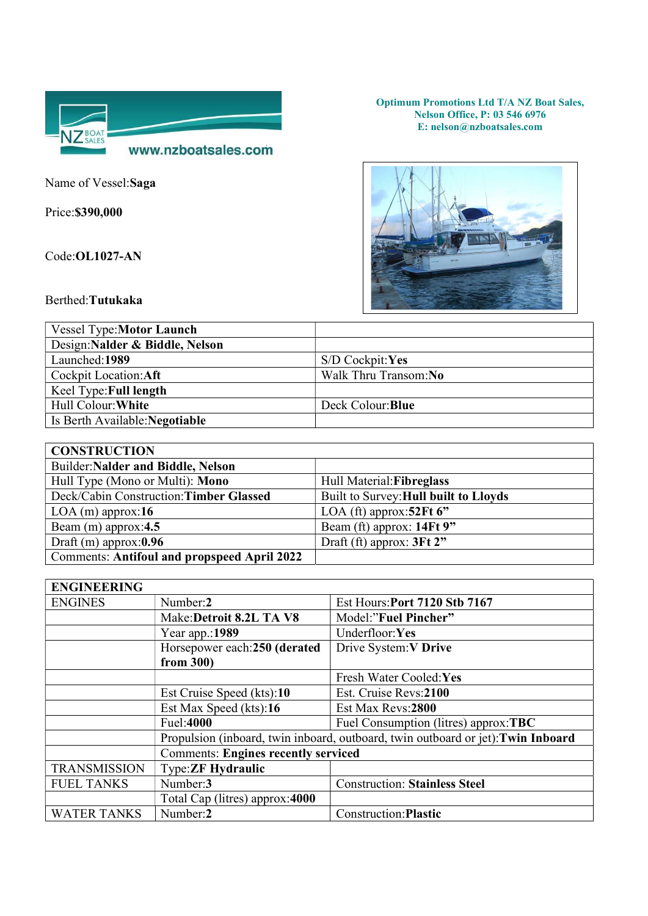

Name of Vessel:Saga

Price:\$390,000

Code:OL1027-AN

Optimum Promotions Ltd T/A NZ Boat Sales, Nelson Office, P: 03 546 6976 E: nelson@nzboatsales.com



Berthed:Tutukaka

| <b>Vessel Type:Motor Launch</b> |                      |
|---------------------------------|----------------------|
| Design: Nalder & Biddle, Nelson |                      |
| Launched: 1989                  | $S/D$ Cockpit: Yes   |
| Cockpit Location: Aft           | Walk Thru Transom:No |
| Keel Type: Full length          |                      |
| Hull Colour: White              | Deck Colour: Blue    |
| Is Berth Available: Negotiable  |                      |

| <b>CONSTRUCTION</b>                                |                                       |  |
|----------------------------------------------------|---------------------------------------|--|
| Builder: Nalder and Biddle, Nelson                 |                                       |  |
| Hull Type (Mono or Multi): Mono                    | Hull Material: Fibreglass             |  |
| Deck/Cabin Construction: Timber Glassed            | Built to Survey: Hull built to Lloyds |  |
| $LOA$ (m) approx:16                                | LOA (ft) approx: $52Ft$ 6"            |  |
| Beam $(m)$ approx:4.5                              | Beam (ft) approx: 14Ft 9"             |  |
| Draft $(m)$ approx: $0.96$                         | Draft (ft) approx: $3Ft 2"$           |  |
| <b>Comments: Antifoul and propspeed April 2022</b> |                                       |  |

| <b>ENGINEERING</b>  |                                                                                  |                                      |
|---------------------|----------------------------------------------------------------------------------|--------------------------------------|
| <b>ENGINES</b>      | Number:2                                                                         | Est Hours: Port 7120 Stb 7167        |
|                     | Make:Detroit 8.2L TA V8                                                          | Model:"Fuel Pincher"                 |
|                     | Year app.:1989                                                                   | Underfloor:Yes                       |
|                     | Horsepower each:250 (derated                                                     | Drive System: V Drive                |
|                     | from $300$ )                                                                     |                                      |
|                     |                                                                                  | Fresh Water Cooled: Yes              |
|                     | Est Cruise Speed (kts):10                                                        | Est. Cruise Revs:2100                |
|                     | Est Max Speed (kts):16                                                           | Est Max Revs:2800                    |
|                     | Fuel:4000                                                                        | Fuel Consumption (litres) approx:TBC |
|                     | Propulsion (inboard, twin inboard, outboard, twin outboard or jet): Twin Inboard |                                      |
|                     | <b>Comments: Engines recently serviced</b>                                       |                                      |
| <b>TRANSMISSION</b> | <b>Type:ZF Hydraulic</b>                                                         |                                      |
| <b>FUEL TANKS</b>   | Number:3                                                                         | <b>Construction: Stainless Steel</b> |
|                     | Total Cap (litres) approx:4000                                                   |                                      |
| <b>WATER TANKS</b>  | Number:2                                                                         | Construction: Plastic                |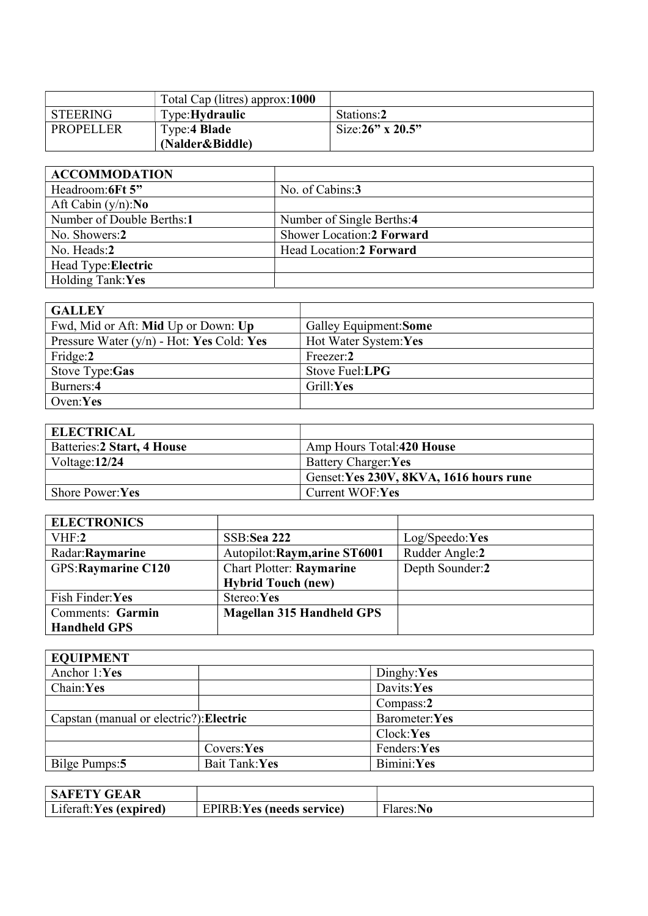|           | Total Cap (litres) approx:1000 |                         |
|-----------|--------------------------------|-------------------------|
| STEERING  | Type: Hydraulic                | Stations:2              |
| PROPELLER | Type:4 Blade                   | Size: $26$ " x $20.5$ " |
|           | (Nalder&Biddle)                |                         |

| <b>ACCOMMODATION</b>         |                                  |
|------------------------------|----------------------------------|
| Headroom:6Ft 5"              | No. of Cabins:3                  |
| Aft Cabin $(y/n):$ <b>No</b> |                                  |
| Number of Double Berths:1    | Number of Single Berths:4        |
| No. Showers:2                | <b>Shower Location:2 Forward</b> |
| No. Heads:2                  | Head Location: 2 Forward         |
| Head Type: Electric          |                                  |
| Holding Tank: Yes            |                                  |

| <b>GALLEY</b>                               |                        |
|---------------------------------------------|------------------------|
| Fwd, Mid or Aft: Mid Up or Down: Up         | Galley Equipment: Some |
| Pressure Water $(y/n)$ - Hot: Yes Cold: Yes | Hot Water System: Yes  |
| Fridge:2                                    | Freezer:2              |
| Stove Type:Gas                              | Stove Fuel:LPG         |
| Burners:4                                   | Grill:Yes              |
| Oven: $Yes$                                 |                        |

| <b>ELECTRICAL</b>           |                                         |
|-----------------------------|-----------------------------------------|
| Batteries: 2 Start, 4 House | Amp Hours Total:420 House               |
| Voltage: $12/24$            | Battery Charger: Yes                    |
|                             | Genset: Yes 230V, 8KVA, 1616 hours rune |
| <b>Shore Power: Yes</b>     | Current WOF:Yes                         |

| <b>ELECTRONICS</b>  |                                  |                 |
|---------------------|----------------------------------|-----------------|
| VHF:2               | SSB:Sea 222                      | Log/Speedo:Yes  |
| Radar: Raymarine    | Autopilot: Raym, arine ST6001    | Rudder Angle:2  |
| GPS: Raymarine C120 | <b>Chart Plotter: Raymarine</b>  | Depth Sounder:2 |
|                     | <b>Hybrid Touch (new)</b>        |                 |
| Fish Finder:Yes     | Stereo:Yes                       |                 |
| Comments: Garmin    | <b>Magellan 315 Handheld GPS</b> |                 |
| <b>Handheld GPS</b> |                                  |                 |

| <b>EQUIPMENT</b>                        |               |               |
|-----------------------------------------|---------------|---------------|
| Anchor 1:Yes                            |               | Dinghy:Yes    |
| Chain:Yes                               |               | Davits:Yes    |
|                                         |               | Compass:2     |
| Capstan (manual or electric?): Electric |               | Barometer:Yes |
|                                         |               | Clock:Yes     |
|                                         | Covers:Yes    | Fenders:Yes   |
| Bilge Pumps: 5                          | Bait Tank:Yes | Bimini:Yes    |

| <b>SAFETY GEAR</b>     |                            |          |
|------------------------|----------------------------|----------|
| Liferaft:Yes (expired) | EPIRB: Yes (needs service) | Hares:No |